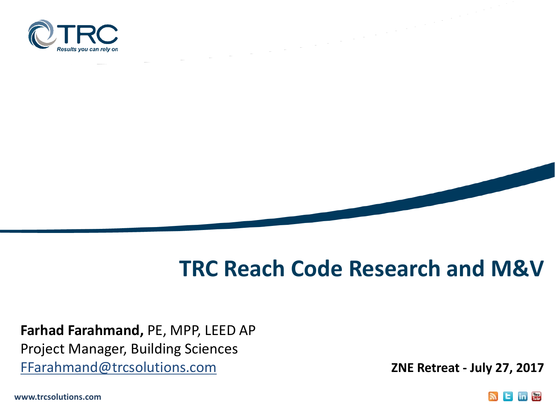

## **TRC Reach Code Research and M&V**

**Farhad Farahmand,** PE, MPP, LEED AP Project Manager, Building Sciences FFarahmand@trcsolutions.com

**ZNE Retreat - July 27, 2017**

**www.trcsolutions.com**

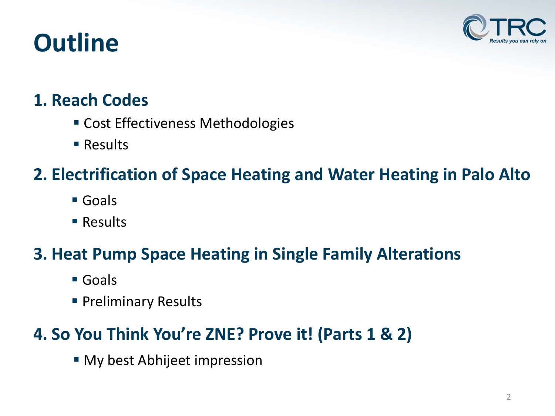## **Outline**



#### **1. Reach Codes**

- **Cost Effectiveness Methodologies**
- Results

### **2. Electrification of Space Heating and Water Heating in Palo Alto**

- Goals
- Results

### **3. Heat Pump Space Heating in Single Family Alterations**

- Goals
- **Preliminary Results**

#### **4. So You Think You're ZNE? Prove it! (Parts 1 & 2)**

**Ny best Abhijeet impression**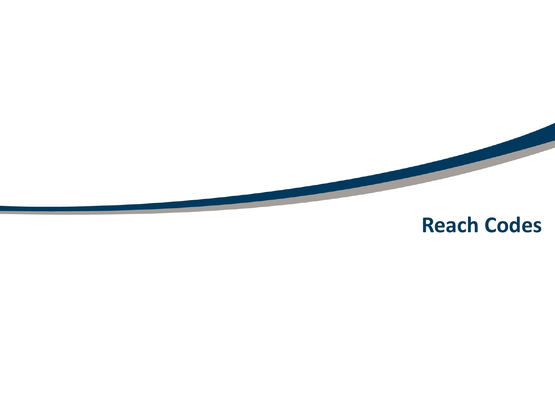

## **Reach Codes**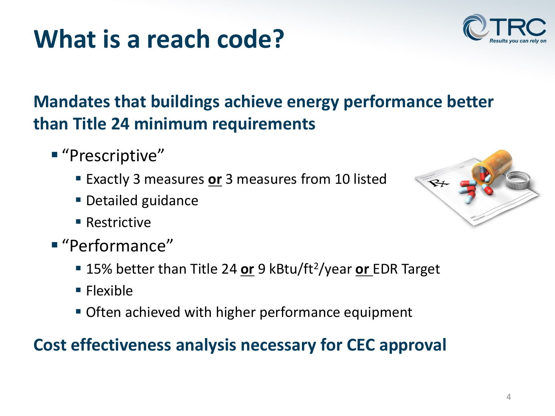## **What is a reach code?**

### **Mandates that buildings achieve energy performance better than Title 24 minimum requirements**

- "Prescriptive"
	- **Exactly 3 measures or 3 measures from 10 listed**
	- Detailed guidance
	- Restrictive
- "Performance"
	- 15% better than Title 24 **or** 9 kBtu/ft2/year **or** EDR Target
	- Flexible
	- **Often achieved with higher performance equipment**

#### **Cost effectiveness analysis necessary for CEC approval**



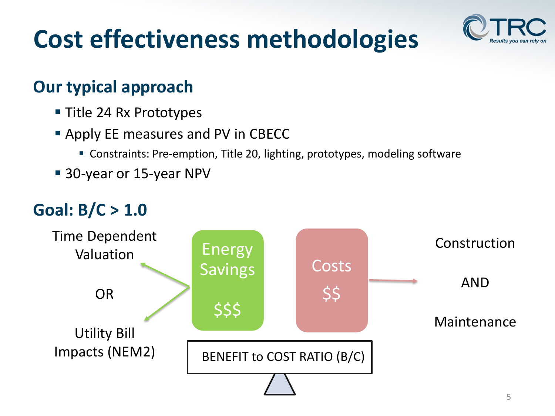# **Cost effectiveness methodologies**



#### **Our typical approach**

- Title 24 Rx Prototypes
- **Apply EE measures and PV in CBECC** 
	- Constraints: Pre-emption, Title 20, lighting, prototypes, modeling software
- 30-year or 15-year NPV

#### **Goal: B/C > 1.0**

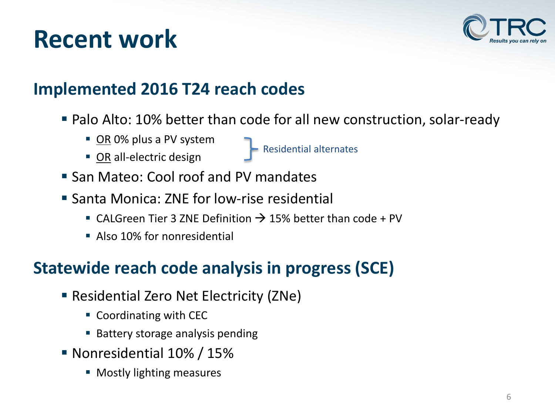## **Recent work**



#### **Implemented 2016 T24 reach codes**

■ Palo Alto: 10% better than code for all new construction, solar-ready

Residential alternates

- OR 0% plus a PV system
- **OR all-electric design**
- **San Mateo: Cool roof and PV mandates**
- Santa Monica: ZNE for low-rise residential
	- CALGreen Tier 3 ZNE Definition  $\rightarrow$  15% better than code + PV
	- **Also 10% for nonresidential**

#### **Statewide reach code analysis in progress (SCE)**

- **Residential Zero Net Electricity (ZNe)** 
	- Coordinating with CEC
	- Battery storage analysis pending
- Nonresidential 10% / 15%
	- **Mostly lighting measures**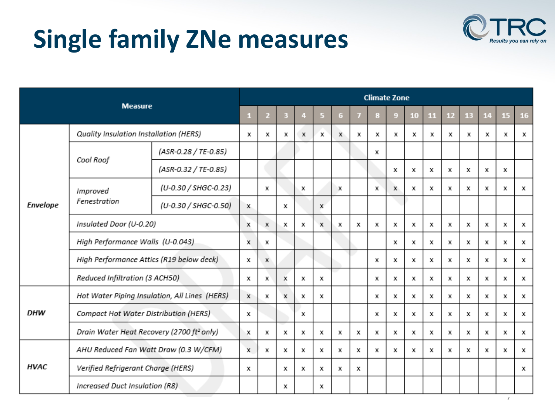# **Single family ZNe measures**



|                 | <b>Measure</b>                           |                                                       |   | <b>Climate Zone</b> |   |   |   |   |   |   |             |    |    |    |    |    |    |    |
|-----------------|------------------------------------------|-------------------------------------------------------|---|---------------------|---|---|---|---|---|---|-------------|----|----|----|----|----|----|----|
|                 |                                          |                                                       | н | $\overline{2}$      | 3 | 4 | 5 | 6 | 7 | в | -9          | 10 | 11 | 12 | 13 | 14 | 15 | 16 |
|                 | Quality Insulation Installation (HERS)   |                                                       | х | x                   | x | x | x | x | х | x | x           | х  | x  | x  | х  | x  | х  | x  |
| <b>Envelope</b> | Cool Roof                                | (ASR-0.28 / TE-0.85)                                  |   |                     |   |   |   |   |   | x |             |    |    |    |    |    |    |    |
|                 |                                          | (ASR-0.32 / TE-0.85)                                  |   |                     |   |   |   |   |   |   | x           | x  | x  | х  | x  | x  | x  |    |
|                 | Improved                                 | (U-0.30 / SHGC-0.23)                                  |   | x                   |   | x |   | х |   | x | $\mathbf x$ | x  | х  | x  | х  | x  | х  | х  |
|                 | Fenestration                             | (U-0.30 / SHGC-0.50)                                  | x |                     | x |   | x |   |   |   |             |    |    |    |    |    |    |    |
|                 | Insulated Door (U-0.20)                  |                                                       | x | x                   | x | х | x | x | х | x | х           | х  | x  | х  | х  | x  | х  | х  |
|                 | High Performance Walls (U-0.043)         |                                                       | x | x                   |   |   |   |   |   |   | x           | x  | x  | х  | x  | x  | x  | x  |
|                 | High Performance Attics (R19 below deck) |                                                       | х | x                   |   |   |   |   |   | x | х           | х  | x  | х  | х  | x  | х  | x  |
|                 | Reduced Infiltration (3 ACH50)           |                                                       | х | x                   | х | х | x |   |   | x | x           | х  | x  | х  | х  | x  | х  | x  |
|                 |                                          | Hot Water Piping Insulation, All Lines (HERS)         |   | x                   | x | x | x |   |   | x | x           | х  | x  | х  | х  | x  | х  | x  |
| DHW             | Compact Hot Water Distribution (HERS)    |                                                       | x |                     |   | x |   |   |   | x | x           | x  | x  | х  | x  | x  | х  | x  |
|                 |                                          | Drain Water Heat Recovery (2700 ft <sup>2</sup> only) | x | x                   | x | х | x | х | х | x | x           | х  | х  | x  | х  | x  | x  | x  |
|                 |                                          | AHU Reduced Fan Watt Draw (0.3 W/CFM)                 | x | x                   | х | х | x | x | х | x | х           | х  | x  | х  | х  | x  | х  | x  |
| <b>HVAC</b>     |                                          | Verified Refrigerant Charge (HERS)                    |   |                     | x | х | х | x | x |   |             |    |    |    |    |    |    | x  |
|                 | Increased Duct Insulation (R8)           |                                                       |   |                     | х |   | x |   |   |   |             |    |    |    |    |    |    |    |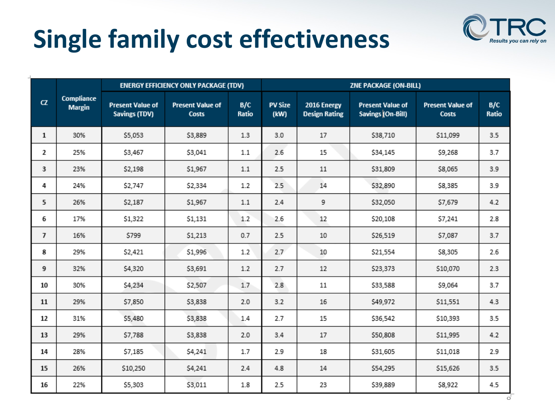# **Single family cost effectiveness**



|                |                             | <b>ENERGY EFFICIENCY ONLY PACKAGE (TDV)</b>     |                                         |              | ZNE PACKAGE (ON-BILL)  |                                     |                                              |                                         |              |  |  |
|----------------|-----------------------------|-------------------------------------------------|-----------------------------------------|--------------|------------------------|-------------------------------------|----------------------------------------------|-----------------------------------------|--------------|--|--|
| CZ             | Compliance<br><b>Margin</b> | <b>Present Value of</b><br><b>Savings (TDV)</b> | <b>Present Value of</b><br><b>Costs</b> | B/C<br>Ratio | <b>PV Size</b><br>(kW) | 2016 Energy<br><b>Design Rating</b> | <b>Present Value of</b><br>Savings (On-Bill) | <b>Present Value of</b><br><b>Costs</b> | B/C<br>Ratio |  |  |
| $\mathbf{1}$   | 30%                         | \$5,053                                         | \$3,889                                 | 1.3          | 3.0                    | 17                                  | \$38,710                                     | \$11,099                                | 3.5          |  |  |
| 2              | 25%                         | \$3,467                                         | \$3,041                                 | $1.1\,$      | 2.6                    | 15                                  | \$34,145                                     | \$9,268                                 | 3.7          |  |  |
| 3              | 23%                         | \$2,198                                         | \$1,967                                 | $1.1\,$      | 2.5                    | $11\,$                              | \$31,809                                     | \$8,065                                 | 3.9          |  |  |
| 4              | 24%                         | \$2,747                                         | \$2,334                                 | 1.2          | 2.5                    | 14                                  | \$32,890                                     | \$8,385                                 | 3.9          |  |  |
| 5              | 26%                         | \$2,187                                         | \$1,967                                 | 1.1          | 2.4                    | 9                                   | \$32,050                                     | \$7,679                                 | 4.2          |  |  |
| 6              | 17%                         | \$1,322                                         | \$1,131                                 | 1.2          | 2.6                    | 12                                  | \$20,108                                     | \$7,241                                 | 2.8          |  |  |
| $\overline{7}$ | 16%                         | \$799                                           | \$1,213                                 | 0.7          | 2.5                    | 10                                  | \$26,519                                     | \$7,087                                 | 3.7          |  |  |
| 8              | 29%                         | \$2,421                                         | \$1,996                                 | 1.2          | 2.7                    | 10                                  | \$21,554                                     | \$8,305                                 | 2.6          |  |  |
| 9              | 32%                         | \$4,320                                         | \$3,691                                 | 1.2          | 2.7                    | 12                                  | \$23,373                                     | \$10,070                                | 2.3          |  |  |
| 10             | 30%                         | \$4,234                                         | \$2,507                                 | 1.7          | 2.8                    | 11                                  | \$33,588                                     | \$9,064                                 | 3.7          |  |  |
| 11             | 29%                         | \$7,850                                         | \$3,838                                 | 2.0          | 3.2                    | 16                                  | \$49,972                                     | \$11,551                                | 4.3          |  |  |
| 12             | 31%                         | \$5,480                                         | \$3,838                                 | 1.4          | 2.7                    | 15                                  | \$36,542                                     | \$10,393                                | 3.5          |  |  |
| 13             | 29%                         | \$7,788                                         | \$3,838                                 | 2.0          | 3.4                    | 17                                  | \$50,808                                     | \$11,995                                | 4.2          |  |  |
| 14             | 28%                         | \$7,185                                         | \$4,241                                 | 1.7          | 2.9                    | 18                                  | \$31,605                                     | \$11,018                                | 2.9          |  |  |
| 15             | 26%                         | \$10,250                                        | \$4,241                                 | 2.4          | 4.8                    | 14                                  | \$54,295                                     | \$15,626                                | 3.5          |  |  |
| 16             | 22%                         | \$5,303                                         | \$3,011                                 | 1.8          | 2.5                    | 23                                  | \$39,889                                     | \$8,922                                 | 4.5          |  |  |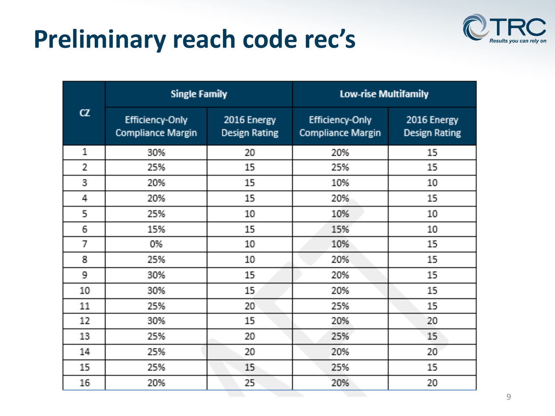## **Preliminary reach code rec's**



|                | <b>Single Family</b>                               |                                     | <b>Low-rise Multifamily</b>                        |                                     |  |  |  |
|----------------|----------------------------------------------------|-------------------------------------|----------------------------------------------------|-------------------------------------|--|--|--|
| $\alpha$       | <b>Efficiency-Only</b><br><b>Compliance Margin</b> | 2016 Energy<br><b>Design Rating</b> | <b>Efficiency-Only</b><br><b>Compliance Margin</b> | 2016 Energy<br><b>Design Rating</b> |  |  |  |
| 1              | 30%                                                | 20                                  | 20%                                                | 15                                  |  |  |  |
| $\overline{2}$ | 25%                                                | 15                                  | 25%                                                | 15                                  |  |  |  |
| 3              | 20%                                                | 15                                  | 10%                                                | 10                                  |  |  |  |
| 4              | 20%                                                | 15                                  | 20%                                                | 15                                  |  |  |  |
| 5              | 25%                                                | 10                                  | 10%                                                | 10                                  |  |  |  |
| 6              | 15%                                                | 15                                  | 15%                                                | 10                                  |  |  |  |
| 7              | 0%                                                 | 10                                  | 10%                                                | 15                                  |  |  |  |
| 8              | 25%                                                | 10                                  | 20%                                                | 15                                  |  |  |  |
| 9              | 30%                                                | 15.                                 | 20%                                                | 15.                                 |  |  |  |
| 10             | 30%                                                | 15                                  | 20%                                                | 15                                  |  |  |  |
| 11             | 25%                                                | 20                                  | 25%                                                | 15.                                 |  |  |  |
| 12             | 30%                                                | 15.                                 | 20%                                                | 20                                  |  |  |  |
| 13             | 25%                                                | 20                                  | 25%                                                | 15.                                 |  |  |  |
| 14             | 25%                                                | 20                                  | 20%                                                | 20                                  |  |  |  |
| 15             | 25%                                                | 15                                  | 25%                                                | 15                                  |  |  |  |
| 16             | 20%                                                | 25                                  | 20%                                                | 20                                  |  |  |  |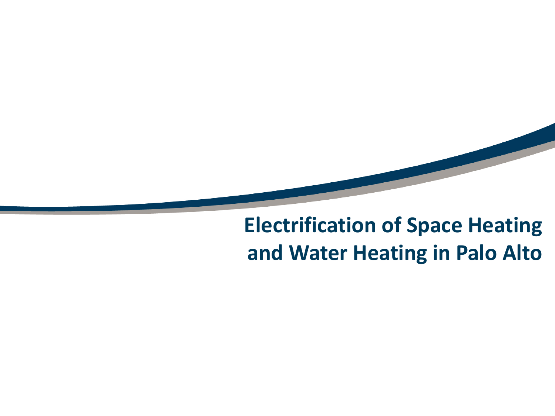## **Electrification of Space Heating and Water Heating in Palo Alto**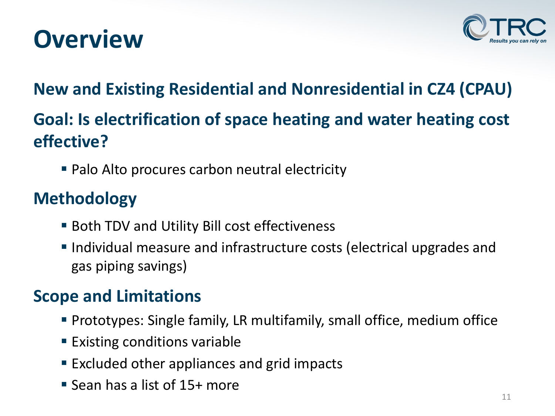



#### **New and Existing Residential and Nonresidential in CZ4 (CPAU)**

#### **Goal: Is electrification of space heating and water heating cost effective?**

■ Palo Alto procures carbon neutral electricity

#### **Methodology**

- Both TDV and Utility Bill cost effectiveness
- **Individual measure and infrastructure costs (electrical upgrades and** gas piping savings)

#### **Scope and Limitations**

- Prototypes: Single family, LR multifamily, small office, medium office
- **Existing conditions variable**
- **Excluded other appliances and grid impacts**
- Sean has a list of 15+ more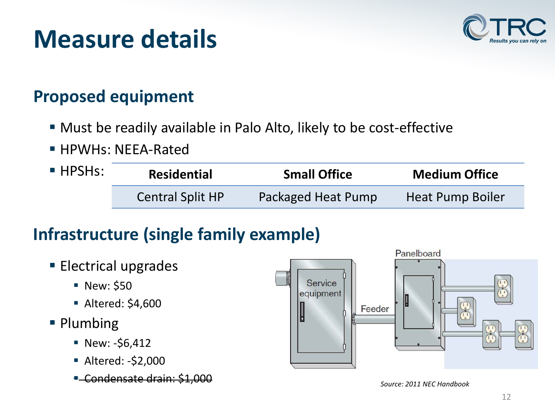## **Measure details**



#### **Proposed equipment**

- Must be readily available in Palo Alto, likely to be cost-effective
- **HPWHs: NEEA-Rated**

| $\blacksquare$ HPSHs: | <b>Residential</b>      | <b>Small Office</b> | <b>Medium Office</b> |  |  |
|-----------------------|-------------------------|---------------------|----------------------|--|--|
|                       | <b>Central Split HP</b> | Packaged Heat Pump  | Heat Pump Boiler     |  |  |

#### **Infrastructure (single family example)**

- **Electrical upgrades** 
	- **New: \$50**
	- Altered: \$4,600
- Plumbing
	- $\blacksquare$  New: -\$6,412
	- Altered: -\$2,000
	- Condensate drain: \$1,000



*Source: 2011 NEC Handbook*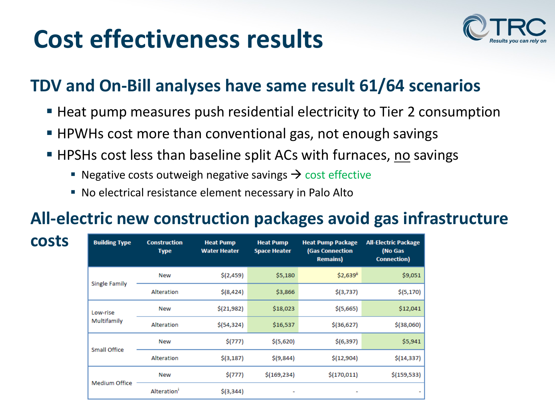## **Cost effectiveness results**

**costs**



#### **TDV and On-Bill analyses have same result 61/64 scenarios**

- Heat pump measures push residential electricity to Tier 2 consumption
- **HPWHs cost more than conventional gas, not enough savings**
- **HPSHs cost less than baseline split ACs with furnaces, no savings** 
	- Negative costs outweigh negative savings  $\rightarrow$  cost effective
	- No electrical resistance element necessary in Palo Alto

#### **All-electric new construction packages avoid gas infrastructure**

| <b>Building Type</b> | <b>Construction</b><br><b>Type</b> | <b>Heat Pump</b><br><b>Water Heater</b> | <b>Heat Pump</b><br><b>Space Heater</b> | <b>Heat Pump Package</b><br><b>(Gas Connection</b><br><b>Remains</b> ) | <b>All-Electric Package</b><br>(No Gas<br><b>Connection</b> ) |
|----------------------|------------------------------------|-----------------------------------------|-----------------------------------------|------------------------------------------------------------------------|---------------------------------------------------------------|
| Single Family        | <b>New</b>                         | \$(2,459)                               | \$5,180                                 | \$2,639"                                                               | \$9,051                                                       |
|                      | Alteration                         | $$$ (8,424)                             | \$3,866                                 | \$(3,737)                                                              | \$(5,170)                                                     |
| Low-rise             | <b>New</b>                         | \$(21,982)                              | \$18,023                                | \$(5,665)                                                              | \$12,041                                                      |
| Multifamily          | Alteration                         | \$(54, 324)                             | \$16,537                                | $$$ (36,627)                                                           | $$$ (38,060)                                                  |
| Small Office         | <b>New</b>                         | \$(777)                                 | \$ (5,620)                              | \$(6,397)                                                              | \$5,941                                                       |
|                      | Alteration                         | $$$ (3,187)                             | \$(9,844)                               | \$(12,904)                                                             | \$(14, 337)                                                   |
|                      | <b>New</b>                         | \$(777)                                 | \$(169, 234)                            | \$(170, 011)                                                           | \$(159, 533)                                                  |
| <b>Medium Office</b> | Alteration <sup>1</sup>            | $$$ (3,344)                             |                                         |                                                                        |                                                               |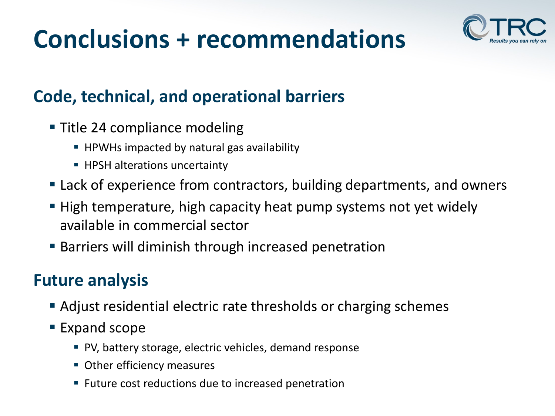## **Conclusions + recommendations**



#### **Code, technical, and operational barriers**

- **Title 24 compliance modeling** 
	- **HPWHs impacted by natural gas availability**
	- **HPSH alterations uncertainty**
- Lack of experience from contractors, building departments, and owners
- High temperature, high capacity heat pump systems not yet widely available in commercial sector
- Barriers will diminish through increased penetration

#### **Future analysis**

- Adjust residential electric rate thresholds or charging schemes
- Expand scope
	- PV, battery storage, electric vehicles, demand response
	- **Other efficiency measures**
	- **Future cost reductions due to increased penetration**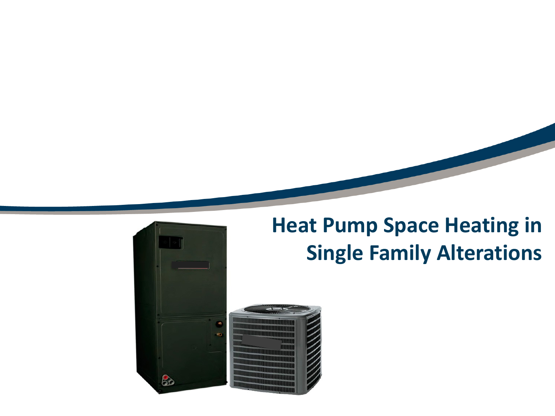

## **Heat Pump Space Heating in Single Family Alterations**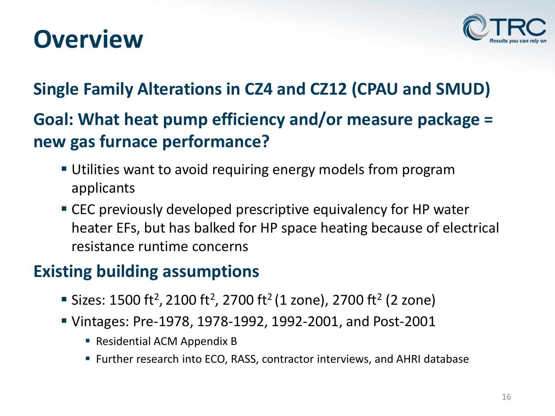## **Overview**



#### **Single Family Alterations in CZ4 and CZ12 (CPAU and SMUD)**

#### **Goal: What heat pump efficiency and/or measure package = new gas furnace performance?**

- Utilities want to avoid requiring energy models from program applicants
- CEC previously developed prescriptive equivalency for HP water heater EFs, but has balked for HP space heating because of electrical resistance runtime concerns

#### **Existing building assumptions**

- Sizes: 1500 ft<sup>2</sup>, 2100 ft<sup>2</sup>, 2700 ft<sup>2</sup> (1 zone), 2700 ft<sup>2</sup> (2 zone)
- Vintages: Pre-1978, 1978-1992, 1992-2001, and Post-2001
	- Residential ACM Appendix B
	- Further research into ECO, RASS, contractor interviews, and AHRI database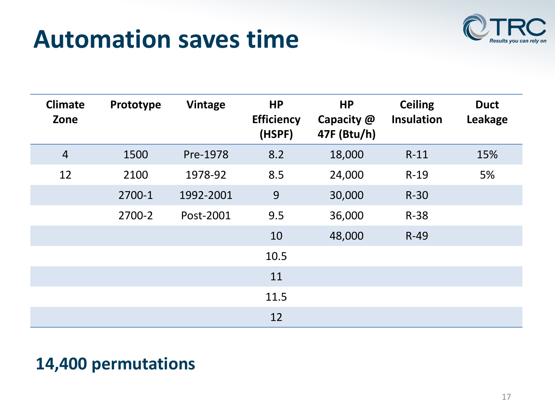## **Automation saves time**



| <b>Climate</b><br>Zone | Prototype | Vintage   | <b>HP</b><br><b>Efficiency</b><br>(HSPF) | <b>HP</b><br>Capacity @<br>47F (Btu/h) | <b>Ceiling</b><br><b>Insulation</b> | <b>Duct</b><br>Leakage |
|------------------------|-----------|-----------|------------------------------------------|----------------------------------------|-------------------------------------|------------------------|
| $\overline{4}$         | 1500      | Pre-1978  | 8.2                                      | 18,000                                 | $R-11$                              | 15%                    |
| 12                     | 2100      | 1978-92   | 8.5                                      | 24,000                                 | $R-19$                              | 5%                     |
|                        | 2700-1    | 1992-2001 | 9                                        | 30,000                                 | $R-30$                              |                        |
|                        | 2700-2    | Post-2001 | 9.5                                      | 36,000                                 | $R-38$                              |                        |
|                        |           |           | 10                                       | 48,000                                 | $R-49$                              |                        |
|                        |           |           | 10.5                                     |                                        |                                     |                        |
|                        |           |           | 11                                       |                                        |                                     |                        |
|                        |           |           | 11.5                                     |                                        |                                     |                        |
|                        |           |           | 12                                       |                                        |                                     |                        |

#### **14,400 permutations**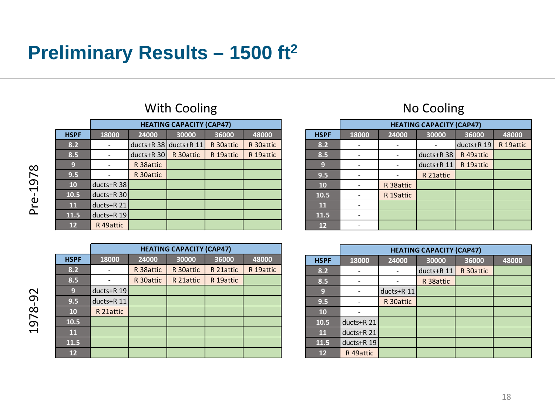### **Preliminary Results – 1500 ft2**

|             |              | <b>HEATING CAPACITY (CAP47)</b> |            |           |           |  |  |  |  |  |  |
|-------------|--------------|---------------------------------|------------|-----------|-----------|--|--|--|--|--|--|
| <b>HSPF</b> | 18000        | 24000                           | 30000      | 36000     | 48000     |  |  |  |  |  |  |
| 8.2         |              | ducts+R $38$                    | ducts+R 11 | R 30attic | R 30attic |  |  |  |  |  |  |
| 8.5         |              | $ducts+R$ 30                    | R 30attic  | R 19attic | R 19attic |  |  |  |  |  |  |
| 9           |              | R 38attic                       |            |           |           |  |  |  |  |  |  |
| 9.5         |              | R 30attic                       |            |           |           |  |  |  |  |  |  |
| 10          | ducts+R $38$ |                                 |            |           |           |  |  |  |  |  |  |
| 10.5        | ducts+R 30   |                                 |            |           |           |  |  |  |  |  |  |
| <b>11</b>   | ducts+R 21   |                                 |            |           |           |  |  |  |  |  |  |
| 11.5        | ducts+R 19   |                                 |            |           |           |  |  |  |  |  |  |
| 12          | R 49attic    |                                 |            |           |           |  |  |  |  |  |  |
|             |              |                                 |            |           |           |  |  |  |  |  |  |

#### With Cooling **No Cooling** 2008 2012 12:30 No Cooling

|             | <b>HEATING CAPACITY (CAP47)</b> |           |           |           |           |  |  |  |  |
|-------------|---------------------------------|-----------|-----------|-----------|-----------|--|--|--|--|
| <b>HSPF</b> | 18000                           | 24000     | 30000     | 36000     | 48000     |  |  |  |  |
| 8.2         |                                 | R 38attic | R 30attic | R 21attic | R 19attic |  |  |  |  |
| 8.5         |                                 | R 30attic | R 21attic | R 19attic |           |  |  |  |  |
| 9           | ducts+R 19                      |           |           |           |           |  |  |  |  |
| 9.5         | $ducts+R$ 11                    |           |           |           |           |  |  |  |  |
| 10          | R 21attic                       |           |           |           |           |  |  |  |  |
| 10.5        |                                 |           |           |           |           |  |  |  |  |
| 11          |                                 |           |           |           |           |  |  |  |  |
| 11.5        |                                 |           |           |           |           |  |  |  |  |
| 12          |                                 |           |           |           |           |  |  |  |  |

|             | <b>HEATING CAPACITY (CAP47)</b> |           |              |              |           |  |  |  |  |
|-------------|---------------------------------|-----------|--------------|--------------|-----------|--|--|--|--|
| <b>HSPF</b> | 18000                           | 24000     | 30000        | 36000        | 48000     |  |  |  |  |
| 8.2         |                                 |           |              | $ducts+R$ 19 | R 19attic |  |  |  |  |
| 8.5         |                                 |           | $ducts+R$ 38 | R 49attic    |           |  |  |  |  |
| 9           |                                 |           | ducts+R 11   | R 19attic    |           |  |  |  |  |
| 9.5         |                                 |           | R 21attic    |              |           |  |  |  |  |
| 10          |                                 | R 38attic |              |              |           |  |  |  |  |
| 10.5        |                                 | R 19attic |              |              |           |  |  |  |  |
| 11          |                                 |           |              |              |           |  |  |  |  |
| 11.5        |                                 |           |              |              |           |  |  |  |  |
| 12          |                                 |           |              |              |           |  |  |  |  |

|             | <b>HEATING CAPACITY (CAP47)</b> |            |            |           |       |  |  |  |  |  |
|-------------|---------------------------------|------------|------------|-----------|-------|--|--|--|--|--|
| <b>HSPF</b> | 18000                           | 24000      | 30000      | 36000     | 48000 |  |  |  |  |  |
| 8.2         |                                 |            | ducts+R 11 | R 30attic |       |  |  |  |  |  |
| 8.5         |                                 |            | R 38attic  |           |       |  |  |  |  |  |
| 9           |                                 | ducts+R 11 |            |           |       |  |  |  |  |  |
| 9.5         |                                 | R 30attic  |            |           |       |  |  |  |  |  |
| 10          |                                 |            |            |           |       |  |  |  |  |  |
| 10.5        | ducts+R 21                      |            |            |           |       |  |  |  |  |  |
| 11          | ducts+R 21                      |            |            |           |       |  |  |  |  |  |
| 11.5        | ducts+R 19                      |            |            |           |       |  |  |  |  |  |
| 12          | R <sub>49</sub> attic           |            |            |           |       |  |  |  |  |  |

Pre-1978 Pre-1978

1978-92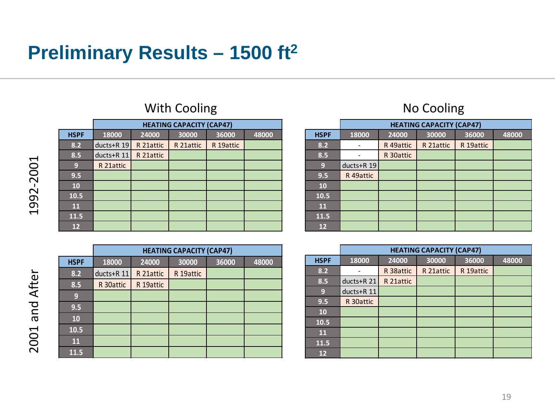## **Preliminary Results – 1500 ft2**

|             |            |           | <b>HEATING CAPACITY (CAP47)</b> |           |       |  |  |  |  |
|-------------|------------|-----------|---------------------------------|-----------|-------|--|--|--|--|
| <b>HSPF</b> | 18000      | 24000     | 30000                           | 36000     | 48000 |  |  |  |  |
| 8.2         | ducts+R 19 | R 21attic | R 21attic                       | R 19attic |       |  |  |  |  |
| 8.5         | ducts+R 11 | R 21attic |                                 |           |       |  |  |  |  |
| 9           | R 21attic  |           |                                 |           |       |  |  |  |  |
| 9.5         |            |           |                                 |           |       |  |  |  |  |
| 10          |            |           |                                 |           |       |  |  |  |  |
| 10.5        |            |           |                                 |           |       |  |  |  |  |
| 11          |            |           |                                 |           |       |  |  |  |  |
| 11.5        |            |           |                                 |           |       |  |  |  |  |
| 12          |            |           |                                 |           |       |  |  |  |  |
|             |            |           |                                 |           |       |  |  |  |  |

#### With Cooling **No Cooling No Cooling**

|             | <b>HEATING CAPACITY (CAP47)</b> |           |           |       |       |  |  |  |  |  |
|-------------|---------------------------------|-----------|-----------|-------|-------|--|--|--|--|--|
| <b>HSPF</b> | 18000                           | 24000     | 30000     | 36000 | 48000 |  |  |  |  |  |
| 8.2         | ducts+R 11                      | R 21attic | R 19attic |       |       |  |  |  |  |  |
| 8.5         | R 30attic                       | R 19attic |           |       |       |  |  |  |  |  |
| 9           |                                 |           |           |       |       |  |  |  |  |  |
| 9.5         |                                 |           |           |       |       |  |  |  |  |  |
| 10          |                                 |           |           |       |       |  |  |  |  |  |
| 10.5        |                                 |           |           |       |       |  |  |  |  |  |
| 11          |                                 |           |           |       |       |  |  |  |  |  |
| 11.5        |                                 |           |           |       |       |  |  |  |  |  |

|             | <b>HEATING CAPACITY (CAP47)</b> |           |           |           |       |  |  |
|-------------|---------------------------------|-----------|-----------|-----------|-------|--|--|
| <b>HSPF</b> | 18000                           | 24000     | 30000     | 36000     | 48000 |  |  |
| 8.2         |                                 | R 49attic | R 21attic | R 19attic |       |  |  |
| 8.5         |                                 | R 30attic |           |           |       |  |  |
| 9           | ducts+R 19                      |           |           |           |       |  |  |
| 9.5         | R 49attic                       |           |           |           |       |  |  |
| 10          |                                 |           |           |           |       |  |  |
| 10.5        |                                 |           |           |           |       |  |  |
| 11          |                                 |           |           |           |       |  |  |
| 11.5        |                                 |           |           |           |       |  |  |
| 12          |                                 |           |           |           |       |  |  |

|             | <b>HEATING CAPACITY (CAP47)</b> |           |           |           |       |  |  |
|-------------|---------------------------------|-----------|-----------|-----------|-------|--|--|
| <b>HSPF</b> | 18000                           | 24000     | 30000     | 36000     | 48000 |  |  |
| 8.2         |                                 | R 38attic | R 21attic | R 19attic |       |  |  |
| 8.5         | ducts+R 21                      | R 21attic |           |           |       |  |  |
| 9           | ducts+R 11                      |           |           |           |       |  |  |
| 9.5         | R 30attic                       |           |           |           |       |  |  |
| 10          |                                 |           |           |           |       |  |  |
| 10.5        |                                 |           |           |           |       |  |  |
| 11          |                                 |           |           |           |       |  |  |
| 11.5        |                                 |           |           |           |       |  |  |
| 12          |                                 |           |           |           |       |  |  |

2001 and After 2001 and After